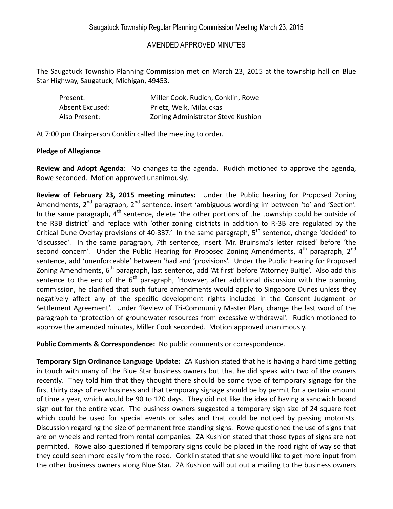## AMENDED APPROVED MINUTES

The Saugatuck Township Planning Commission met on March 23, 2015 at the township hall on Blue Star Highway, Saugatuck, Michigan, 49453.

| Present:        | Miller Cook, Rudich, Conklin, Rowe |
|-----------------|------------------------------------|
| Absent Excused: | Prietz, Welk, Milauckas            |
| Also Present:   | Zoning Administrator Steve Kushion |

At 7:00 pm Chairperson Conklin called the meeting to order.

## **Pledge of Allegiance**

**Review and Adopt Agenda**: No changes to the agenda. Rudich motioned to approve the agenda, Rowe seconded. Motion approved unanimously.

**Review of February 23, 2015 meeting minutes:** Under the Public hearing for Proposed Zoning Amendments,  $2^{nd}$  paragraph,  $2^{nd}$  sentence, insert 'ambiguous wording in' between 'to' and 'Section'. In the same paragraph,  $4<sup>th</sup>$  sentence, delete 'the other portions of the township could be outside of the R3B district' and replace with 'other zoning districts in addition to R-3B are regulated by the Critical Dune Overlay provisions of 40-337.' In the same paragraph, 5<sup>th</sup> sentence, change 'decided' to 'discussed'. In the same paragraph, 7th sentence, insert 'Mr. Bruinsma's letter raised' before 'the second concern'. Under the Public Hearing for Proposed Zoning Amendments,  $4^{\text{th}}$  paragraph,  $2^{\text{nd}}$ sentence, add 'unenforceable' between 'had and 'provisions'. Under the Public Hearing for Proposed Zoning Amendments, 6<sup>th</sup> paragraph, last sentence, add 'At first' before 'Attorney Bultje'. Also add this sentence to the end of the  $6<sup>th</sup>$  paragraph, 'However, after additional discussion with the planning commission, he clarified that such future amendments would apply to Singapore Dunes unless they negatively affect any of the specific development rights included in the Consent Judgment or Settlement Agreement'. Under 'Review of Tri-Community Master Plan, change the last word of the paragraph to 'protection of groundwater resources from excessive withdrawal'. Rudich motioned to approve the amended minutes, Miller Cook seconded. Motion approved unanimously.

**Public Comments & Correspondence:** No public comments or correspondence.

**Temporary Sign Ordinance Language Update:** ZA Kushion stated that he is having a hard time getting in touch with many of the Blue Star business owners but that he did speak with two of the owners recently. They told him that they thought there should be some type of temporary signage for the first thirty days of new business and that temporary signage should be by permit for a certain amount of time a year, which would be 90 to 120 days. They did not like the idea of having a sandwich board sign out for the entire year. The business owners suggested a temporary sign size of 24 square feet which could be used for special events or sales and that could be noticed by passing motorists. Discussion regarding the size of permanent free standing signs. Rowe questioned the use of signs that are on wheels and rented from rental companies. ZA Kushion stated that those types of signs are not permitted. Rowe also questioned if temporary signs could be placed in the road right of way so that they could seen more easily from the road. Conklin stated that she would like to get more input from the other business owners along Blue Star. ZA Kushion will put out a mailing to the business owners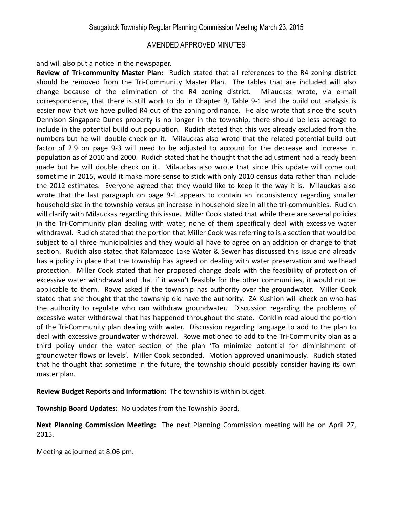## AMENDED APPROVED MINUTES

and will also put a notice in the newspaper.

**Review of Tri-community Master Plan:** Rudich stated that all references to the R4 zoning district should be removed from the Tri-Community Master Plan. The tables that are included will also change because of the elimination of the R4 zoning district. Milauckas wrote, via e-mail correspondence, that there is still work to do in Chapter 9, Table 9-1 and the build out analysis is easier now that we have pulled R4 out of the zoning ordinance. He also wrote that since the south Dennison Singapore Dunes property is no longer in the township, there should be less acreage to include in the potential build out population. Rudich stated that this was already excluded from the numbers but he will double check on it. Milauckas also wrote that the related potential build out factor of 2.9 on page 9-3 will need to be adjusted to account for the decrease and increase in population as of 2010 and 2000. Rudich stated that he thought that the adjustment had already been made but he will double check on it. Milauckas also wrote that since this update will come out sometime in 2015, would it make more sense to stick with only 2010 census data rather than include the 2012 estimates. Everyone agreed that they would like to keep it the way it is. MIlauckas also wrote that the last paragraph on page 9-1 appears to contain an inconsistency regarding smaller household size in the township versus an increase in household size in all the tri-communities. Rudich will clarify with Milauckas regarding this issue. Miller Cook stated that while there are several policies in the Tri-Community plan dealing with water, none of them specifically deal with excessive water withdrawal. Rudich stated that the portion that Miller Cook was referring to is a section that would be subject to all three municipalities and they would all have to agree on an addition or change to that section. Rudich also stated that Kalamazoo Lake Water & Sewer has discussed this issue and already has a policy in place that the township has agreed on dealing with water preservation and wellhead protection. Miller Cook stated that her proposed change deals with the feasibility of protection of excessive water withdrawal and that if it wasn't feasible for the other communities, it would not be applicable to them. Rowe asked if the township has authority over the groundwater. Miller Cook stated that she thought that the township did have the authority. ZA Kushion will check on who has the authority to regulate who can withdraw groundwater. Discussion regarding the problems of excessive water withdrawal that has happened throughout the state. Conklin read aloud the portion of the Tri-Community plan dealing with water. Discussion regarding language to add to the plan to deal with excessive groundwater withdrawal. Rowe motioned to add to the Tri-Community plan as a third policy under the water section of the plan 'To minimize potential for diminishment of groundwater flows or levels'. Miller Cook seconded. Motion approved unanimously. Rudich stated that he thought that sometime in the future, the township should possibly consider having its own master plan.

**Review Budget Reports and Information:** The township is within budget.

**Township Board Updates:** No updates from the Township Board.

**Next Planning Commission Meeting:** The next Planning Commission meeting will be on April 27, 2015.

Meeting adjourned at 8:06 pm.